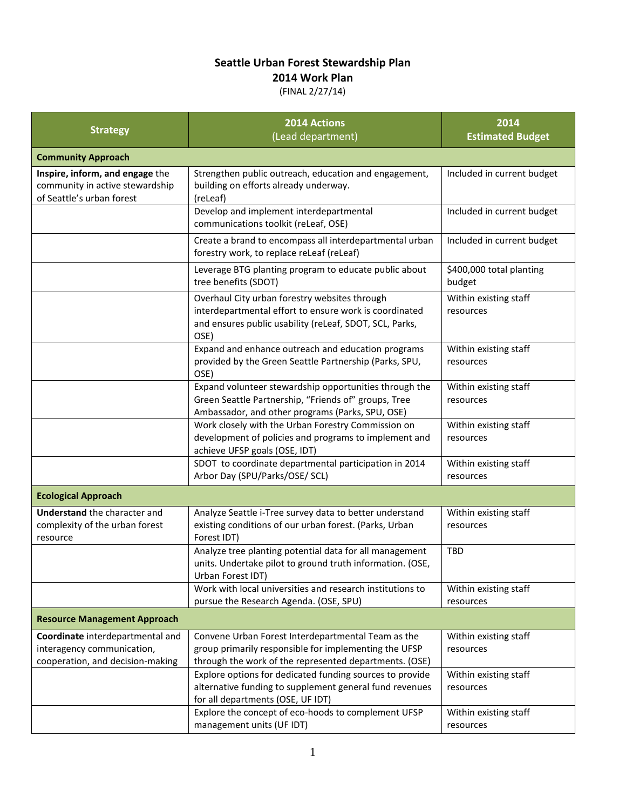## **Seattle Urban Forest Stewardship Plan**

## **2014 Work Plan**

## (FINAL 2/27/14)

| <b>Strategy</b>                                                                                    | 2014 Actions<br>(Lead department)                                                                                                                                          | 2014<br><b>Estimated Budget</b>    |
|----------------------------------------------------------------------------------------------------|----------------------------------------------------------------------------------------------------------------------------------------------------------------------------|------------------------------------|
| <b>Community Approach</b>                                                                          |                                                                                                                                                                            |                                    |
| Inspire, inform, and engage the<br>community in active stewardship<br>of Seattle's urban forest    | Strengthen public outreach, education and engagement,<br>building on efforts already underway.<br>(reLeaf)                                                                 | Included in current budget         |
|                                                                                                    | Develop and implement interdepartmental<br>communications toolkit (reLeaf, OSE)                                                                                            | Included in current budget         |
|                                                                                                    | Create a brand to encompass all interdepartmental urban<br>forestry work, to replace reLeaf (reLeaf)                                                                       | Included in current budget         |
|                                                                                                    | Leverage BTG planting program to educate public about<br>tree benefits (SDOT)                                                                                              | \$400,000 total planting<br>budget |
|                                                                                                    | Overhaul City urban forestry websites through<br>interdepartmental effort to ensure work is coordinated<br>and ensures public usability (reLeaf, SDOT, SCL, Parks,<br>OSE) | Within existing staff<br>resources |
|                                                                                                    | Expand and enhance outreach and education programs<br>provided by the Green Seattle Partnership (Parks, SPU,<br>OSE)                                                       | Within existing staff<br>resources |
|                                                                                                    | Expand volunteer stewardship opportunities through the<br>Green Seattle Partnership, "Friends of" groups, Tree<br>Ambassador, and other programs (Parks, SPU, OSE)         | Within existing staff<br>resources |
|                                                                                                    | Work closely with the Urban Forestry Commission on<br>development of policies and programs to implement and<br>achieve UFSP goals (OSE, IDT)                               | Within existing staff<br>resources |
|                                                                                                    | SDOT to coordinate departmental participation in 2014<br>Arbor Day (SPU/Parks/OSE/ SCL)                                                                                    | Within existing staff<br>resources |
| <b>Ecological Approach</b>                                                                         |                                                                                                                                                                            |                                    |
| <b>Understand</b> the character and<br>complexity of the urban forest<br>resource                  | Analyze Seattle i-Tree survey data to better understand<br>existing conditions of our urban forest. (Parks, Urban<br>Forest IDT)                                           | Within existing staff<br>resources |
|                                                                                                    | Analyze tree planting potential data for all management<br>units. Undertake pilot to ground truth information. (OSE,<br>Urban Forest IDT)                                  | TBD                                |
|                                                                                                    | Work with local universities and research institutions to<br>pursue the Research Agenda. (OSE, SPU)                                                                        | Within existing staff<br>resources |
| <b>Resource Management Approach</b>                                                                |                                                                                                                                                                            |                                    |
| Coordinate interdepartmental and<br>interagency communication,<br>cooperation, and decision-making | Convene Urban Forest Interdepartmental Team as the<br>group primarily responsible for implementing the UFSP<br>through the work of the represented departments. (OSE)      | Within existing staff<br>resources |
|                                                                                                    | Explore options for dedicated funding sources to provide<br>alternative funding to supplement general fund revenues<br>for all departments (OSE, UF IDT)                   | Within existing staff<br>resources |
|                                                                                                    | Explore the concept of eco-hoods to complement UFSP<br>management units (UF IDT)                                                                                           | Within existing staff<br>resources |